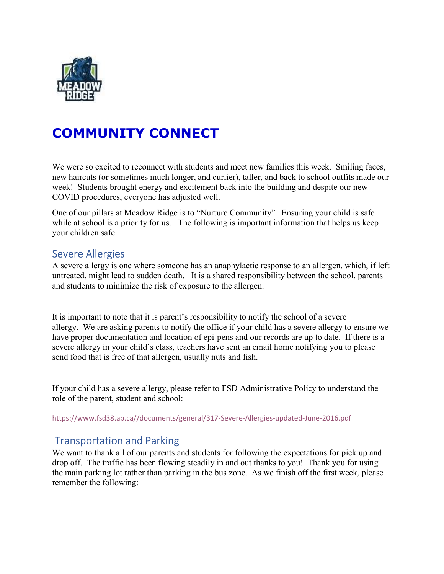

# COMMUNITY CONNECT

We were so excited to reconnect with students and meet new families this week. Smiling faces, new haircuts (or sometimes much longer, and curlier), taller, and back to school outfits made our week! Students brought energy and excitement back into the building and despite our new COVID procedures, everyone has adjusted well.

One of our pillars at Meadow Ridge is to "Nurture Community". Ensuring your child is safe while at school is a priority for us. The following is important information that helps us keep your children safe:

### Severe Allergies

A severe allergy is one where someone has an anaphylactic response to an allergen, which, if left untreated, might lead to sudden death. It is a shared responsibility between the school, parents and students to minimize the risk of exposure to the allergen.

It is important to note that it is parent's responsibility to notify the school of a severe allergy. We are asking parents to notify the office if your child has a severe allergy to ensure we have proper documentation and location of epi-pens and our records are up to date. If there is a severe allergy in your child's class, teachers have sent an email home notifying you to please send food that is free of that allergen, usually nuts and fish.

If your child has a severe allergy, please refer to FSD Administrative Policy to understand the role of the parent, student and school:

https://www.fsd38.ab.ca//documents/general/317-Severe-Allergies-updated-June-2016.pdf

# Transportation and Parking

We want to thank all of our parents and students for following the expectations for pick up and drop off. The traffic has been flowing steadily in and out thanks to you! Thank you for using the main parking lot rather than parking in the bus zone. As we finish off the first week, please remember the following: